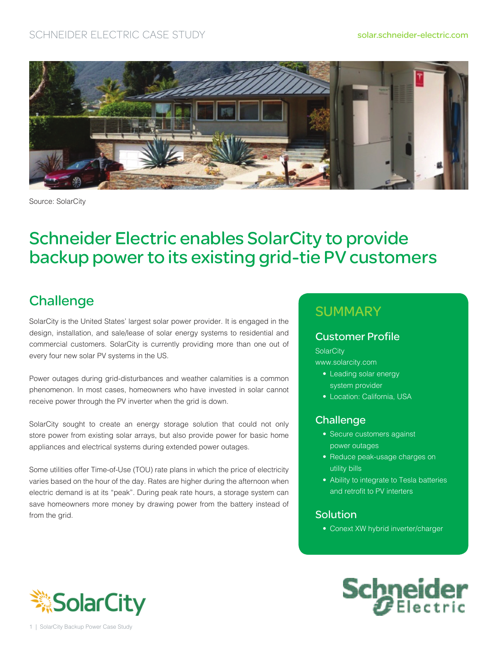

Source: SolarCity

# Schneider Electric enables SolarCity to provide backup power to its existing grid-tie PV customers

### **Challenge**

SolarCity is the United States' largest solar power provider. It is engaged in the design, installation, and sale/lease of solar energy systems to residential and commercial customers. SolarCity is currently providing more than one out of every four new solar PV systems in the US.

Power outages during grid-disturbances and weather calamities is a common phenomenon. In most cases, homeowners who have invested in solar cannot receive power through the PV inverter when the grid is down.

SolarCity sought to create an energy storage solution that could not only store power from existing solar arrays, but also provide power for basic home appliances and electrical systems during extended power outages.

Some utilities offer Time-of-Use (TOU) rate plans in which the price of electricity varies based on the hour of the day. Rates are higher during the afternoon when electric demand is at its "peak". During peak rate hours, a storage system can save homeowners more money by drawing power from the battery instead of from the grid.

### **SUMMARY**

#### Customer Profile

**SolarCity** 

www.solarcity.com

- Leading solar energy
- system provider
- Location: California, USA

### Challenge

- Secure customers against power outages
- Reduce peak-usage charges on utility bills
- Ability to integrate to Tesla batteries and retrofit to PV interters

#### Solution

• Conext XW hybrid inverter/charger